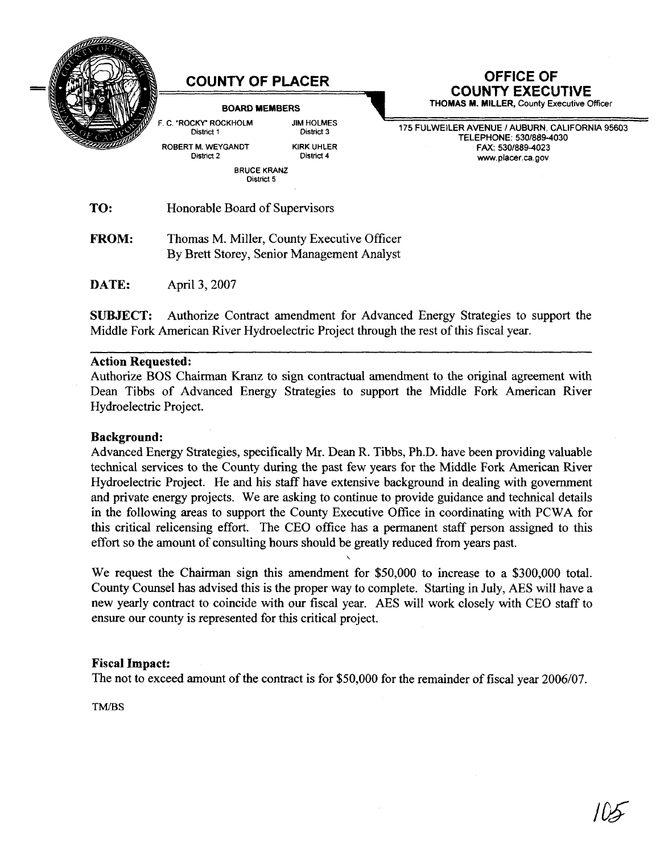

**DATE:** April 3,2007

**SUBJECT:** Authorize Contract amendment for Advanced Energy Strategies to support the Middle Fork American River Hydroelectric Project through the rest of this fiscal year.

#### **Action Requested:**

Authorize BOS Chairman Kranz to sign contractual amendment to the original agreement with Dean Tibbs of Advanced Energy Strategies to support the Middle Fork American River Hydroelectric Project.

#### **Background:**

Advanced Energy Strategies, specifically Mr. Dean R. Tibbs, Ph.D. have been providing valuable technical services to the County during the past few years for the Middle Fork American River Hydroelectric Project. He and his staff have extensive background in dealing with government and private energy projects. We are asking to continue to provide guidance and technical details in the following areas to support the County Executive Office in coordinating with PCWA for this critical relicensing effort. The CEO office has a permanent staff person assigned to this effort so the amount of consulting hours should be greatly reduced from years past.

We request the Chairman sign this amendment for \$50,000 to increase to a \$300,000 total. County Counsel has advised this is the proper way to complete. Starting in July, AES will have a new yearly contract to coincide with our fiscal year. AES will work closely with CEO staff to ensure our county is represented for this critical project.

 $\mathbf{v}$ 

### **Fiscal Impact:**

The not to exceed amount of the contract is for \$50,000 for the remainder of fiscal year 2006/07.

TM/BS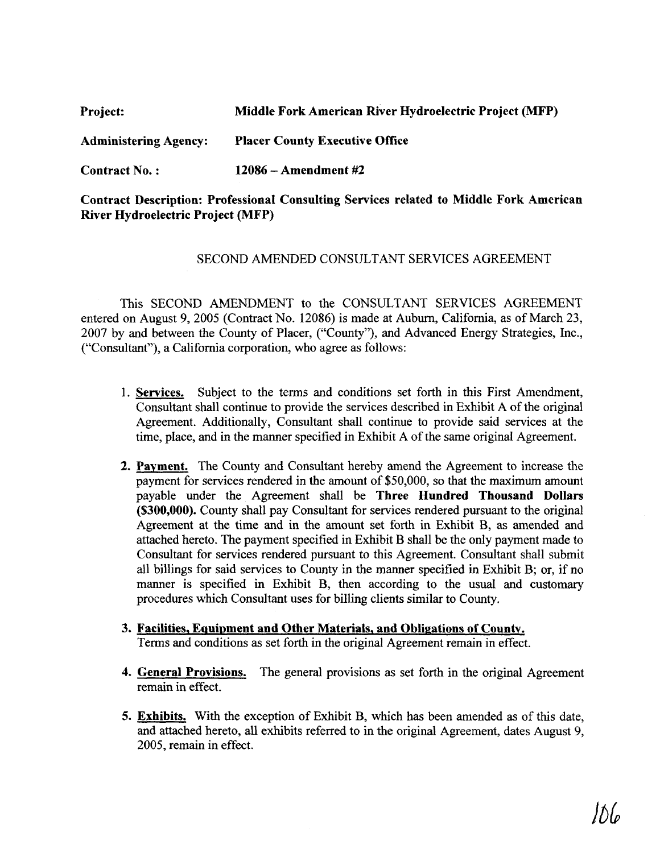| <b>Project:</b>              | Middle Fork American River Hydroelectric Project (MFP) |
|------------------------------|--------------------------------------------------------|
| <b>Administering Agency:</b> | <b>Placer County Executive Office</b>                  |
| Contract No.:                | $12086 -$ Amendment #2                                 |

# **Contract Description: Professional Consulting Services related to Middle Fork American River Hydroelectric Project (MFP)**

## SECOND AMENDED CONSULTANT SERVICES AGREEMENT

This SECOND AMENDMENT to the CONSULTANT SERVICES AGREEMENT entered on August 9, 2005 (Contract No. 12086) is made at Auburn, California, as of March 23, 2007 by and between the County of Placer, ("County"), and Advanced Energy Strategies, Inc., ("Consultant"), a California corporation, who agree as follows:

- **1. Services.** Subject to the terms and conditions set forth in this First Amendment, Consultant shall continue to provide the services described in Exhibit A of the original Agreement. Additionally, Consultant shall continue to provide said services at the time, place, and in the manner specified in Exhibit A of the same original Agreement.
- **2. Pavment.** The County and Consultant hereby amend the Agreement to increase the payment for services rendered in the amount of \$50,000, so that the maximum amount payable under the Agreement shall be **Three Hundred Thousand Dollars (\$300,000).** County shall pay Consultant for services rendered pursuant to the original Agreement at the time and in the amount set forth in Exhibit B, **as** amended and attached hereto. The payment specified in Exhibit B shall be the only payment made to Consultant for services rendered pursuant to this Agreement. Consultant shall submit all billings for said services to County in the manner specified in Exhibit B; or, if no manner is specified in Exhibit B, then according to the usual and customary procedures which Consultant uses for billing clients similar to County.
- **3. Facilities, Equipment and Other Materials, and Obligations of County.** Terms and conditions as set forth in the original Agreement remain in effect.
- **4. General Provisions.** The general provisions as set forth in the original Agreement remain in effect.
- **5. Exhibits.** With the exception of Exhibit B, which has been amended **as** of this date, and attached hereto, all exhibits referred to in the original Agreement, dates August 9, 2005, remain in effect.